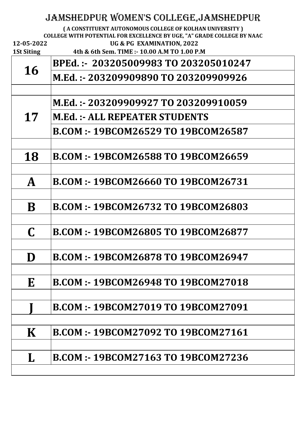|                   | JAMSHEDPUR WOMEN'S COLLEGE, JAMSHEDPUR                                                                                             |
|-------------------|------------------------------------------------------------------------------------------------------------------------------------|
|                   | (A CONSTITUENT AUTONOMOUS COLLEGE OF KOLHAN UNIVERSITY)<br>COLLEGE WITH POTENTIAL FOR EXCELLENCE BY UGE, "A" GRADE COLLEGE BY NAAC |
| 12-05-2022        | UG & PG EXAMINATION, 2022                                                                                                          |
| <b>1St Siting</b> | 4th & 6th Sem. TIME :- 10.00 A.M TO 1.00 P.M                                                                                       |
| 16                | BPEd.: - 203205009983 TO 203205010247                                                                                              |
|                   | M.Ed.: - 203209909890 TO 203209909926                                                                                              |
|                   |                                                                                                                                    |
| 17                | M.Ed.: - 203209909927 TO 203209910059                                                                                              |
|                   | <b>M.Ed. :- ALL REPEATER STUDENTS</b>                                                                                              |
|                   | B.COM :- 19BCOM26529 TO 19BCOM26587                                                                                                |
|                   |                                                                                                                                    |
| 18                | B.COM :- 19BCOM26588 TO 19BCOM26659                                                                                                |
|                   |                                                                                                                                    |
| $\mathbf{A}$      | <b>B.COM:-19BCOM26660 TO 19BCOM26731</b>                                                                                           |
|                   |                                                                                                                                    |
| B                 | <b>B.COM:-19BCOM26732 TO 19BCOM26803</b>                                                                                           |
|                   |                                                                                                                                    |
| $\mathbf C$       | B.COM :- 19BCOM26805 TO 19BCOM26877                                                                                                |
|                   |                                                                                                                                    |
| D                 | <b>B.COM :- 19BCOM26878 TO 19BCOM26947</b>                                                                                         |
|                   |                                                                                                                                    |
| E                 | <b>B.COM :- 19BCOM26948 TO 19BCOM27018</b>                                                                                         |
|                   |                                                                                                                                    |
|                   | <b>B.COM :- 19BCOM27019 TO 19BCOM27091</b>                                                                                         |
|                   |                                                                                                                                    |

| K | <b>B.COM :- 19BCOM27092 TO 19BCOM27161</b> |
|---|--------------------------------------------|
|   | <b>B.COM:-19BCOM27163 TO 19BCOM27236</b>   |
|   |                                            |

 $\blacksquare$